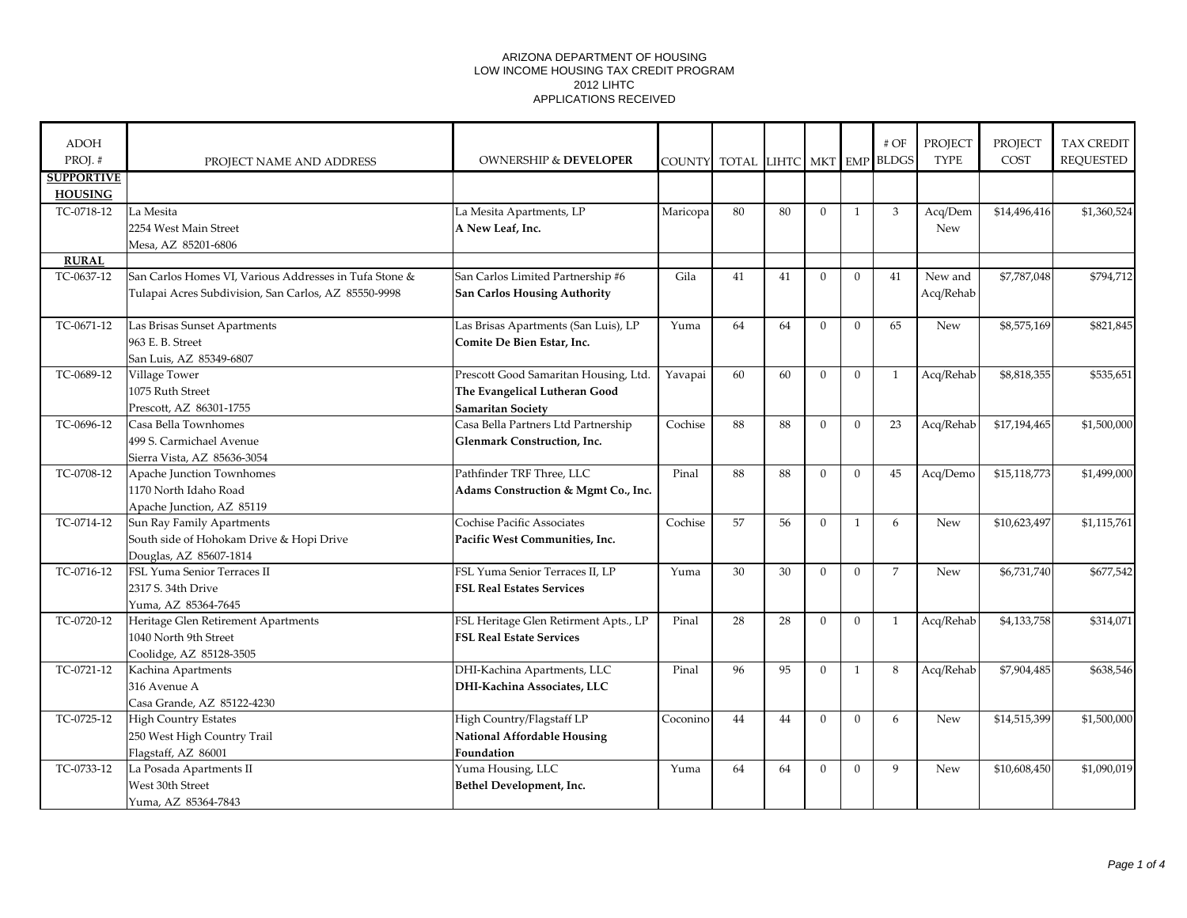| <b>ADOH</b><br>PROJ.# | PROJECT NAME AND ADDRESS                               | <b>OWNERSHIP &amp; DEVELOPER</b>      |          | COUNTY TOTAL LIHTC MKT EMP BLDGS |    |                |                | $\#$ OF        | PROJECT<br><b>TYPE</b> | <b>PROJECT</b><br>COST | <b>TAX CREDIT</b><br><b>REQUESTED</b> |
|-----------------------|--------------------------------------------------------|---------------------------------------|----------|----------------------------------|----|----------------|----------------|----------------|------------------------|------------------------|---------------------------------------|
| <b>SUPPORTIVE</b>     |                                                        |                                       |          |                                  |    |                |                |                |                        |                        |                                       |
| <b>HOUSING</b>        |                                                        |                                       |          |                                  |    |                |                |                |                        |                        |                                       |
| TC-0718-12            | La Mesita                                              | La Mesita Apartments, LP              | Maricopa | 80                               | 80 | $\Omega$       | $\mathbf{1}$   | 3              | Acq/Dem                | \$14,496,416           | \$1,360,524                           |
|                       | 2254 West Main Street                                  | A New Leaf, Inc.                      |          |                                  |    |                |                |                | <b>New</b>             |                        |                                       |
|                       | Mesa, AZ 85201-6806                                    |                                       |          |                                  |    |                |                |                |                        |                        |                                       |
| <b>RURAL</b>          |                                                        |                                       |          |                                  |    |                |                |                |                        |                        |                                       |
| TC-0637-12            | San Carlos Homes VI, Various Addresses in Tufa Stone & | San Carlos Limited Partnership #6     | Gila     | 41                               | 41 | $\Omega$       | $\Omega$       | 41             | New and                | \$7,787,048            | \$794,712                             |
|                       | Tulapai Acres Subdivision, San Carlos, AZ 85550-9998   | San Carlos Housing Authority          |          |                                  |    |                |                |                | Acq/Rehab              |                        |                                       |
| TC-0671-12            | Las Brisas Sunset Apartments                           | Las Brisas Apartments (San Luis), LP  | Yuma     | 64                               | 64 | $\Omega$       | $\Omega$       | 65             | <b>New</b>             | \$8,575,169            | \$821,845                             |
|                       | 963 E. B. Street                                       | Comite De Bien Estar, Inc.            |          |                                  |    |                |                |                |                        |                        |                                       |
|                       | San Luis, AZ 85349-6807                                |                                       |          |                                  |    |                |                |                |                        |                        |                                       |
| TC-0689-12            | Village Tower                                          | Prescott Good Samaritan Housing, Ltd. | Yavapai  | 60                               | 60 | $\theta$       | $\theta$       | $\mathbf{1}$   | Acq/Rehab              | \$8,818,355            | \$535,651                             |
|                       | 1075 Ruth Street                                       | The Evangelical Lutheran Good         |          |                                  |    |                |                |                |                        |                        |                                       |
|                       | Prescott, AZ 86301-1755                                | Samaritan Society                     |          |                                  |    |                |                |                |                        |                        |                                       |
| TC-0696-12            | Casa Bella Townhomes                                   | Casa Bella Partners Ltd Partnership   | Cochise  | 88                               | 88 | $\Omega$       | $\theta$       | 23             | Acq/Rehab              | \$17,194,465           | \$1,500,000                           |
|                       | 499 S. Carmichael Avenue                               | Glenmark Construction, Inc.           |          |                                  |    |                |                |                |                        |                        |                                       |
|                       | Sierra Vista, AZ 85636-3054                            |                                       |          |                                  |    |                |                |                |                        |                        |                                       |
| TC-0708-12            | Apache Junction Townhomes                              | Pathfinder TRF Three, LLC             | Pinal    | 88                               | 88 | $\overline{0}$ | $\mathbf{0}$   | 45             | Acq/Demo               | \$15,118,773           | \$1,499,000                           |
|                       | 1170 North Idaho Road                                  | Adams Construction & Mgmt Co., Inc.   |          |                                  |    |                |                |                |                        |                        |                                       |
|                       | Apache Junction, AZ 85119                              |                                       |          |                                  |    |                |                |                |                        |                        |                                       |
| TC-0714-12            | Sun Ray Family Apartments                              | Cochise Pacific Associates            | Cochise  | 57                               | 56 | $\overline{0}$ | $\mathbf{1}$   | 6              | New                    | \$10,623,497           | \$1,115,761                           |
|                       | South side of Hohokam Drive & Hopi Drive               | Pacific West Communities, Inc.        |          |                                  |    |                |                |                |                        |                        |                                       |
|                       | Douglas, AZ 85607-1814                                 |                                       |          |                                  |    |                |                |                |                        |                        |                                       |
| TC-0716-12            | FSL Yuma Senior Terraces II                            | FSL Yuma Senior Terraces II, LP       | Yuma     | 30                               | 30 | $\theta$       | $\mathbf{0}$   | $\overline{7}$ | New                    | \$6,731,740            | \$677,542                             |
|                       | 2317 S. 34th Drive                                     | <b>FSL Real Estates Services</b>      |          |                                  |    |                |                |                |                        |                        |                                       |
|                       | Yuma, AZ 85364-7645                                    |                                       |          |                                  |    |                |                |                |                        |                        |                                       |
| TC-0720-12            | Heritage Glen Retirement Apartments                    | FSL Heritage Glen Retirment Apts., LP | Pinal    | 28                               | 28 | $\Omega$       | $\mathbf{0}$   | $\mathbf{1}$   | Acq/Rehab              | \$4,133,758            | \$314,071                             |
|                       | 1040 North 9th Street                                  | <b>FSL Real Estate Services</b>       |          |                                  |    |                |                |                |                        |                        |                                       |
|                       | Coolidge, AZ 85128-3505                                |                                       |          |                                  |    |                |                |                |                        |                        |                                       |
| TC-0721-12            | Kachina Apartments                                     | DHI-Kachina Apartments, LLC           | Pinal    | 96                               | 95 | $\overline{0}$ | $\mathbf{1}$   | 8              | Acq/Rehab              | \$7,904,485            | \$638,546                             |
|                       | 316 Avenue A                                           | DHI-Kachina Associates, LLC           |          |                                  |    |                |                |                |                        |                        |                                       |
|                       | Casa Grande, AZ 85122-4230                             |                                       |          |                                  |    |                |                |                |                        |                        |                                       |
| TC-0725-12            | <b>High Country Estates</b>                            | High Country/Flagstaff LP             | Coconino | 44                               | 44 | $\theta$       | $\overline{0}$ | 6              | New                    | \$14,515,399           | \$1,500,000                           |
|                       | 250 West High Country Trail                            | <b>National Affordable Housing</b>    |          |                                  |    |                |                |                |                        |                        |                                       |
|                       | Flagstaff, AZ 86001                                    | Foundation                            |          |                                  |    |                |                |                |                        |                        |                                       |
| TC-0733-12            | La Posada Apartments II                                | Yuma Housing, LLC                     | Yuma     | 64                               | 64 | $\Omega$       | $\Omega$       | 9              | New                    | \$10,608,450           | \$1,090,019                           |
|                       | West 30th Street                                       | Bethel Development, Inc.              |          |                                  |    |                |                |                |                        |                        |                                       |
|                       | Yuma, AZ 85364-7843                                    |                                       |          |                                  |    |                |                |                |                        |                        |                                       |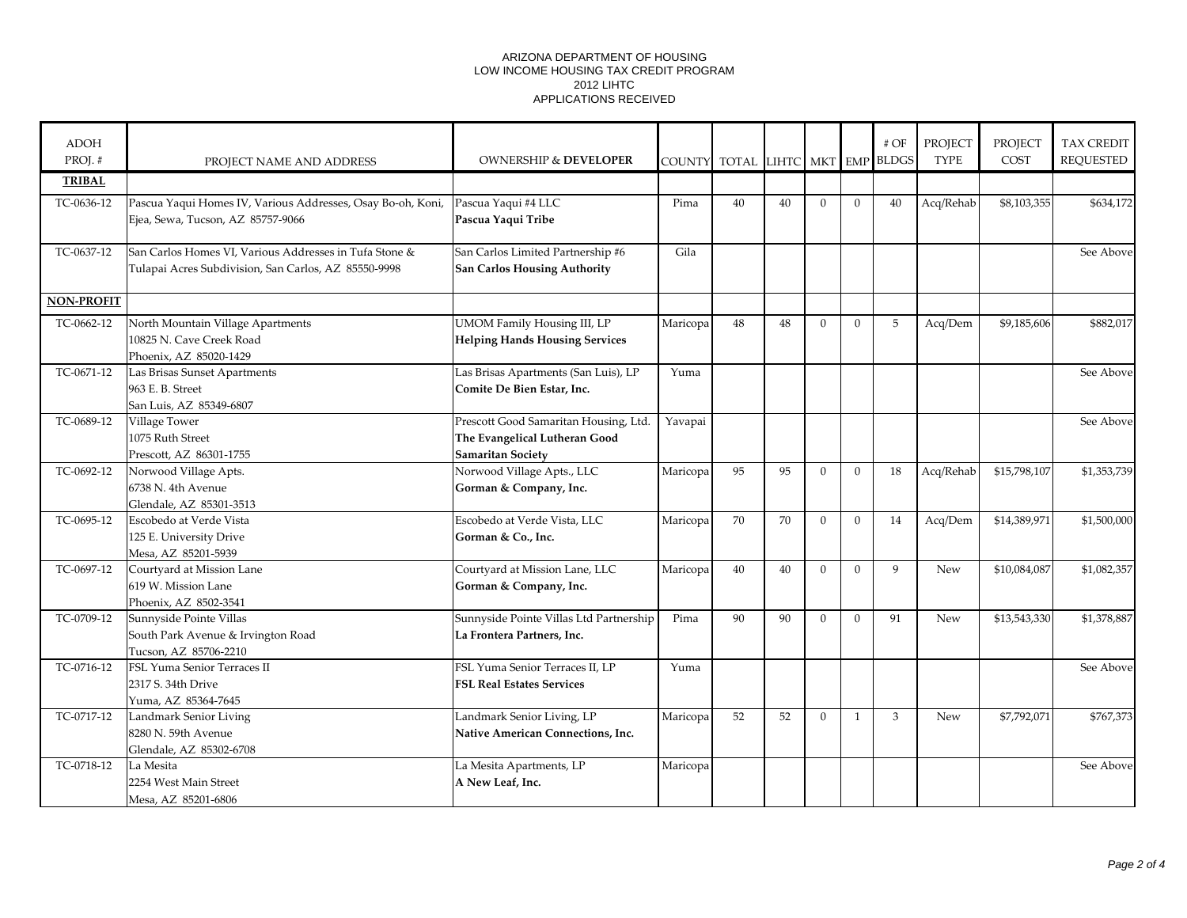| <b>ADOH</b><br>PROJ.# | PROJECT NAME AND ADDRESS                                                                                       | <b>OWNERSHIP &amp; DEVELOPER</b>                                                                   |          | COUNTY TOTAL LIHTC MKT EMP BLDGS |    |                |                | $\#$ OF | PROJECT<br><b>TYPE</b> | <b>PROJECT</b><br>COST | <b>TAX CREDIT</b><br><b>REQUESTED</b> |
|-----------------------|----------------------------------------------------------------------------------------------------------------|----------------------------------------------------------------------------------------------------|----------|----------------------------------|----|----------------|----------------|---------|------------------------|------------------------|---------------------------------------|
| <b>TRIBAL</b>         |                                                                                                                |                                                                                                    |          |                                  |    |                |                |         |                        |                        |                                       |
| TC-0636-12            | Pascua Yaqui Homes IV, Various Addresses, Osay Bo-oh, Koni,<br>Ejea, Sewa, Tucson, AZ 85757-9066               | Pascua Yaqui #4 LLC<br>Pascua Yaqui Tribe                                                          | Pima     | 40                               | 40 | $\theta$       | $\theta$       | 40      | Acq/Rehab              | \$8,103,355            | \$634,172                             |
| TC-0637-12            | San Carlos Homes VI, Various Addresses in Tufa Stone &<br>Tulapai Acres Subdivision, San Carlos, AZ 85550-9998 | San Carlos Limited Partnership #6<br><b>San Carlos Housing Authority</b>                           | Gila     |                                  |    |                |                |         |                        |                        | See Above                             |
| <b>NON-PROFIT</b>     |                                                                                                                |                                                                                                    |          |                                  |    |                |                |         |                        |                        |                                       |
| TC-0662-12            | North Mountain Village Apartments<br>10825 N. Cave Creek Road<br>Phoenix, AZ 85020-1429                        | <b>UMOM Family Housing III, LP</b><br><b>Helping Hands Housing Services</b>                        | Maricopa | 48                               | 48 | $\Omega$       | $\theta$       | 5       | Acq/Dem                | \$9,185,606            | \$882,017                             |
| TC-0671-12            | Las Brisas Sunset Apartments<br>963 E. B. Street<br>San Luis, AZ 85349-6807                                    | Las Brisas Apartments (San Luis), LP<br>Comite De Bien Estar, Inc.                                 | Yuma     |                                  |    |                |                |         |                        |                        | See Above                             |
| TC-0689-12            | Village Tower<br>1075 Ruth Street<br>Prescott, AZ 86301-1755                                                   | Prescott Good Samaritan Housing, Ltd.<br>The Evangelical Lutheran Good<br><b>Samaritan Society</b> | Yavapai  |                                  |    |                |                |         |                        |                        | See Above                             |
| TC-0692-12            | Norwood Village Apts.<br>6738 N. 4th Avenue<br>Glendale, AZ 85301-3513                                         | Norwood Village Apts., LLC<br>Gorman & Company, Inc.                                               | Maricopa | 95                               | 95 | $\Omega$       | $\overline{0}$ | 18      | Acq/Rehab              | \$15,798,107           | \$1,353,739                           |
| TC-0695-12            | Escobedo at Verde Vista<br>125 E. University Drive<br>Mesa, AZ 85201-5939                                      | Escobedo at Verde Vista, LLC<br>Gorman & Co., Inc.                                                 | Maricopa | 70                               | 70 | $\overline{0}$ | $\mathbf{0}$   | 14      | Acq/Dem                | \$14,389,971           | \$1,500,000                           |
| TC-0697-12            | Courtyard at Mission Lane<br>619 W. Mission Lane<br>Phoenix, AZ 8502-3541                                      | Courtyard at Mission Lane, LLC<br>Gorman & Company, Inc.                                           | Maricopa | 40                               | 40 | $\theta$       | $\theta$       | 9       | New                    | \$10,084,087           | \$1,082,357                           |
| TC-0709-12            | Sunnyside Pointe Villas<br>South Park Avenue & Irvington Road<br>Tucson, AZ 85706-2210                         | Sunnyside Pointe Villas Ltd Partnership<br>La Frontera Partners, Inc.                              | Pima     | 90                               | 90 | $\theta$       | $\Omega$       | 91      | New                    | \$13,543,330           | \$1,378,887                           |
| TC-0716-12            | FSL Yuma Senior Terraces II<br>2317 S. 34th Drive<br>Yuma, AZ 85364-7645                                       | FSL Yuma Senior Terraces II, LP<br><b>FSL Real Estates Services</b>                                | Yuma     |                                  |    |                |                |         |                        |                        | See Above                             |
| TC-0717-12            | Landmark Senior Living<br>8280 N. 59th Avenue<br>Glendale, AZ 85302-6708                                       | Landmark Senior Living, LP<br>Native American Connections, Inc.                                    | Maricopa | 52                               | 52 | $\Omega$       | 1              | 3       | New                    | \$7,792,071            | \$767,373                             |
| TC-0718-12            | La Mesita<br>2254 West Main Street<br>Mesa, AZ 85201-6806                                                      | La Mesita Apartments, LP<br>A New Leaf, Inc.                                                       | Maricopa |                                  |    |                |                |         |                        |                        | See Above                             |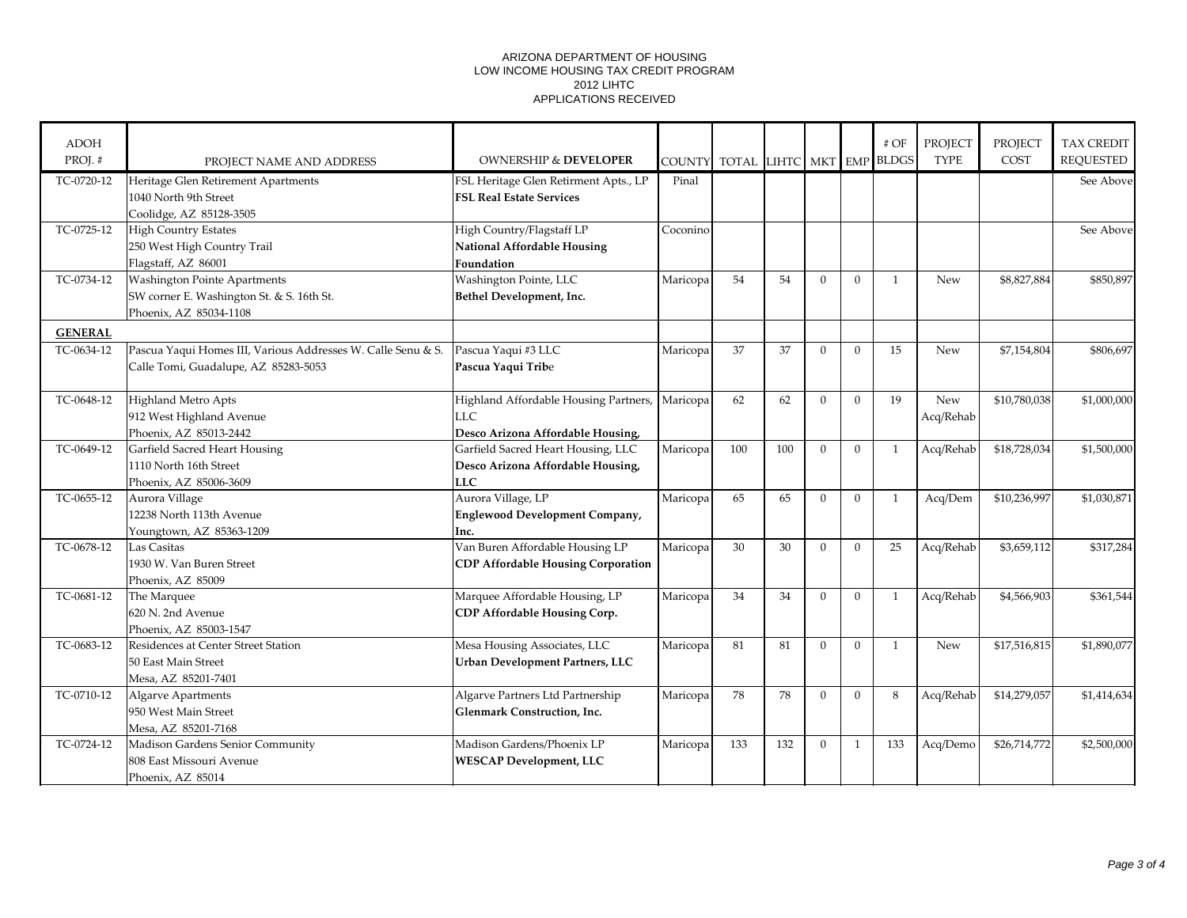| <b>ADOH</b>    |                                                              |                                           |          |                                  |     |                |              | $#$ OF       | PROJECT     | PROJECT      | TAX CREDIT       |
|----------------|--------------------------------------------------------------|-------------------------------------------|----------|----------------------------------|-----|----------------|--------------|--------------|-------------|--------------|------------------|
| PROJ.#         | PROJECT NAME AND ADDRESS                                     | <b>OWNERSHIP &amp; DEVELOPER</b>          |          | COUNTY TOTAL LIHTC MKT EMP BLDGS |     |                |              |              | <b>TYPE</b> | COST         | <b>REQUESTED</b> |
| TC-0720-12     | Heritage Glen Retirement Apartments                          | FSL Heritage Glen Retirment Apts., LP     | Pinal    |                                  |     |                |              |              |             |              | See Above        |
|                | 1040 North 9th Street                                        | <b>FSL Real Estate Services</b>           |          |                                  |     |                |              |              |             |              |                  |
|                | Coolidge, AZ 85128-3505                                      |                                           |          |                                  |     |                |              |              |             |              |                  |
| TC-0725-12     | <b>High Country Estates</b>                                  | High Country/Flagstaff LP                 | Coconino |                                  |     |                |              |              |             |              | See Above        |
|                | 250 West High Country Trail                                  | National Affordable Housing               |          |                                  |     |                |              |              |             |              |                  |
|                | Flagstaff, AZ 86001                                          | Foundation                                |          |                                  |     |                |              |              |             |              |                  |
| TC-0734-12     | <b>Washington Pointe Apartments</b>                          | Washington Pointe, LLC                    | Maricopa | 54                               | 54  | $\Omega$       | $\Omega$     | $\mathbf{1}$ | New         | \$8,827,884  | \$850,897        |
|                | SW corner E. Washington St. & S. 16th St.                    | Bethel Development, Inc.                  |          |                                  |     |                |              |              |             |              |                  |
|                | Phoenix, AZ 85034-1108                                       |                                           |          |                                  |     |                |              |              |             |              |                  |
| <b>GENERAL</b> |                                                              |                                           |          |                                  |     |                |              |              |             |              |                  |
| TC-0634-12     | Pascua Yaqui Homes III, Various Addresses W. Calle Senu & S. | Pascua Yaqui #3 LLC                       | Maricopa | 37                               | 37  | $\Omega$       | $\Omega$     | 15           | New         | \$7,154,804  | \$806,697        |
|                | Calle Tomi, Guadalupe, AZ 85283-5053                         | Pascua Yaqui Tribe                        |          |                                  |     |                |              |              |             |              |                  |
|                |                                                              |                                           |          |                                  |     |                |              |              |             |              |                  |
| TC-0648-12     | Highland Metro Apts                                          | Highland Affordable Housing Partners,     | Maricopa | 62                               | 62  | $\Omega$       | $\mathbf{0}$ | 19           | New         | \$10,780,038 | \$1,000,000      |
|                | 912 West Highland Avenue                                     | LLC.                                      |          |                                  |     |                |              |              | Acq/Rehab   |              |                  |
|                | Phoenix, AZ 85013-2442                                       | Desco Arizona Affordable Housing,         |          |                                  |     |                |              |              |             |              |                  |
| TC-0649-12     | Garfield Sacred Heart Housing                                | Garfield Sacred Heart Housing, LLC        | Maricopa | 100                              | 100 | $\Omega$       | $\mathbf{0}$ | 1            | Acq/Rehab   | \$18,728,034 | \$1,500,000      |
|                | 1110 North 16th Street                                       | Desco Arizona Affordable Housing,         |          |                                  |     |                |              |              |             |              |                  |
|                | Phoenix, AZ 85006-3609                                       | <b>LLC</b>                                |          |                                  |     |                |              |              |             |              |                  |
| TC-0655-12     | Aurora Village                                               | Aurora Village, LP                        | Maricopa | 65                               | 65  | $\Omega$       | $\mathbf{0}$ | 1            | Acq/Dem     | \$10,236,997 | \$1,030,871      |
|                | 12238 North 113th Avenue                                     | <b>Englewood Development Company,</b>     |          |                                  |     |                |              |              |             |              |                  |
|                | Youngtown, AZ 85363-1209                                     | Inc.                                      |          |                                  |     |                |              |              |             |              |                  |
| TC-0678-12     | Las Casitas                                                  | Van Buren Affordable Housing LP           | Maricopa | 30                               | 30  | $\theta$       | $\mathbf{0}$ | 25           | Acq/Rehab   | \$3,659,112  | \$317,284        |
|                | 1930 W. Van Buren Street                                     | <b>CDP Affordable Housing Corporation</b> |          |                                  |     |                |              |              |             |              |                  |
|                | Phoenix, AZ 85009                                            |                                           |          |                                  |     |                |              |              |             |              |                  |
| TC-0681-12     | The Marquee                                                  | Marquee Affordable Housing, LP            | Maricopa | 34                               | 34  | $\overline{0}$ | $\mathbf{0}$ | 1            | Acq/Rehab   | \$4,566,903  | \$361,544        |
|                | 620 N. 2nd Avenue                                            | CDP Affordable Housing Corp.              |          |                                  |     |                |              |              |             |              |                  |
|                | Phoenix, AZ 85003-1547                                       |                                           |          |                                  |     |                |              |              |             |              |                  |
| TC-0683-12     | Residences at Center Street Station                          | Mesa Housing Associates, LLC              | Maricopa | 81                               | 81  | $\theta$       | $\mathbf{0}$ | $\mathbf{1}$ | New         | \$17,516,815 | \$1,890,077      |
|                | 50 East Main Street                                          | Urban Development Partners, LLC           |          |                                  |     |                |              |              |             |              |                  |
|                | Mesa, AZ 85201-7401                                          |                                           |          |                                  |     |                |              |              |             |              |                  |
| TC-0710-12     | <b>Algarve Apartments</b>                                    | Algarve Partners Ltd Partnership          | Maricopa | 78                               | 78  | $\theta$       | $\Omega$     | 8            | Acq/Rehab   | \$14,279,057 | \$1,414,634      |
|                | 950 West Main Street                                         | Glenmark Construction, Inc.               |          |                                  |     |                |              |              |             |              |                  |
|                | Mesa, AZ 85201-7168                                          |                                           |          |                                  |     |                |              |              |             |              |                  |
| TC-0724-12     | Madison Gardens Senior Community                             | Madison Gardens/Phoenix LP                | Maricopa | 133                              | 132 | $\Omega$       | $\mathbf{1}$ | 133          | Acq/Demo    | \$26,714,772 | \$2,500,000      |
|                | 808 East Missouri Avenue                                     | <b>WESCAP Development, LLC</b>            |          |                                  |     |                |              |              |             |              |                  |
|                | Phoenix, AZ 85014                                            |                                           |          |                                  |     |                |              |              |             |              |                  |